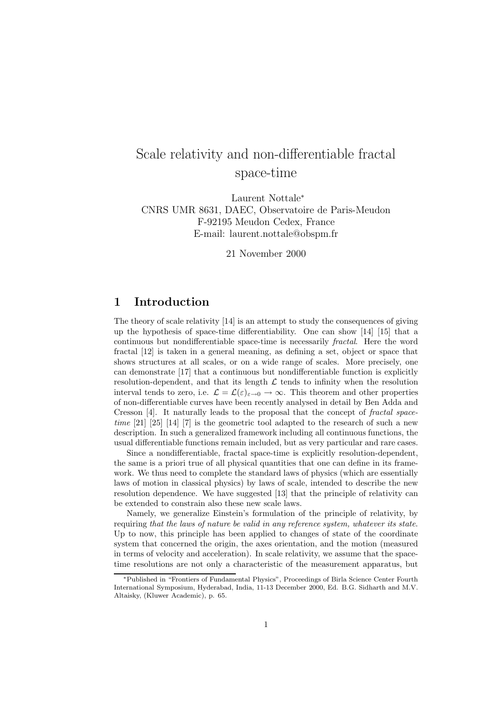# Scale relativity and non-differentiable fractal space-time

Laurent Nottale<sup>∗</sup> CNRS UMR 8631, DAEC, Observatoire de Paris-Meudon F-92195 Meudon Cedex, France E-mail: laurent.nottale@obspm.fr

21 November 2000

# 1 Introduction

The theory of scale relativity [14] is an attempt to study the consequences of giving up the hypothesis of space-time differentiability. One can show [14] [15] that a continuous but nondifferentiable space-time is necessarily fractal. Here the word fractal [12] is taken in a general meaning, as defining a set, object or space that shows structures at all scales, or on a wide range of scales. More precisely, one can demonstrate [17] that a continuous but nondifferentiable function is explicitly resolution-dependent, and that its length  $\mathcal L$  tends to infinity when the resolution interval tends to zero, i.e.  $\mathcal{L} = \mathcal{L}(\varepsilon)_{\varepsilon \to 0} \to \infty$ . This theorem and other properties of non-differentiable curves have been recently analysed in detail by Ben Adda and Cresson [4]. It naturally leads to the proposal that the concept of fractal spacetime  $[21]$   $[25]$   $[14]$   $[7]$  is the geometric tool adapted to the research of such a new description. In such a generalized framework including all continuous functions, the usual differentiable functions remain included, but as very particular and rare cases.

Since a nondifferentiable, fractal space-time is explicitly resolution-dependent, the same is a priori true of all physical quantities that one can define in its framework. We thus need to complete the standard laws of physics (which are essentially laws of motion in classical physics) by laws of scale, intended to describe the new resolution dependence. We have suggested [13] that the principle of relativity can be extended to constrain also these new scale laws.

Namely, we generalize Einstein's formulation of the principle of relativity, by requiring that the laws of nature be valid in any reference system, whatever its state. Up to now, this principle has been applied to changes of state of the coordinate system that concerned the origin, the axes orientation, and the motion (measured in terms of velocity and acceleration). In scale relativity, we assume that the spacetime resolutions are not only a characteristic of the measurement apparatus, but

<sup>∗</sup>Published in "Frontiers of Fundamental Physics", Proceedings of Birla Science Center Fourth International Symposium, Hyderabad, India, 11-13 December 2000, Ed. B.G. Sidharth and M.V. Altaisky, (Kluwer Academic), p. 65.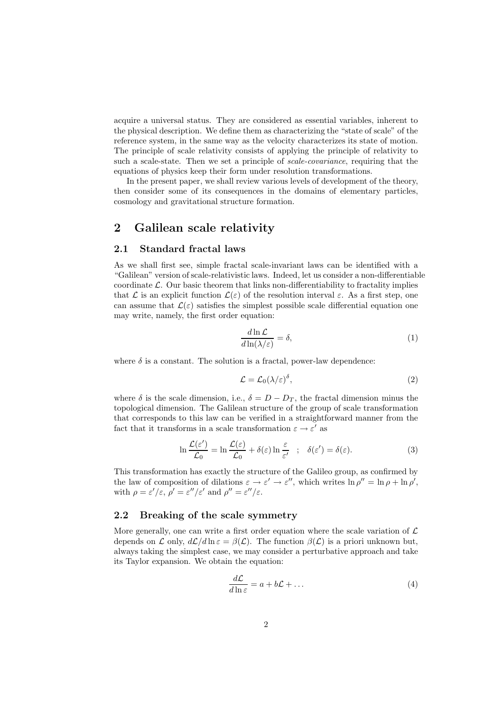acquire a universal status. They are considered as essential variables, inherent to the physical description. We define them as characterizing the "state of scale" of the reference system, in the same way as the velocity characterizes its state of motion. The principle of scale relativity consists of applying the principle of relativity to such a scale-state. Then we set a principle of *scale-covariance*, requiring that the equations of physics keep their form under resolution transformations.

In the present paper, we shall review various levels of development of the theory, then consider some of its consequences in the domains of elementary particles, cosmology and gravitational structure formation.

### 2 Galilean scale relativity

#### 2.1 Standard fractal laws

As we shall first see, simple fractal scale-invariant laws can be identified with a "Galilean" version of scale-relativistic laws. Indeed, let us consider a non-differentiable coordinate  $\mathcal{L}$ . Our basic theorem that links non-differentiability to fractality implies that L is an explicit function  $\mathcal{L}(\varepsilon)$  of the resolution interval  $\varepsilon$ . As a first step, one can assume that  $\mathcal{L}(\varepsilon)$  satisfies the simplest possible scale differential equation one may write, namely, the first order equation:

$$
\frac{d\ln\mathcal{L}}{d\ln(\lambda/\varepsilon)} = \delta,\tag{1}
$$

where  $\delta$  is a constant. The solution is a fractal, power-law dependence:

$$
\mathcal{L} = \mathcal{L}_0(\lambda/\varepsilon)^{\delta},\tag{2}
$$

where  $\delta$  is the scale dimension, i.e.,  $\delta = D - D_T$ , the fractal dimension minus the topological dimension. The Galilean structure of the group of scale transformation that corresponds to this law can be verified in a straightforward manner from the fact that it transforms in a scale transformation  $\varepsilon \to \varepsilon'$  as

$$
\ln \frac{\mathcal{L}(\varepsilon')}{\mathcal{L}_0} = \ln \frac{\mathcal{L}(\varepsilon)}{\mathcal{L}_0} + \delta(\varepsilon) \ln \frac{\varepsilon}{\varepsilon'} \quad ; \quad \delta(\varepsilon') = \delta(\varepsilon). \tag{3}
$$

This transformation has exactly the structure of the Galileo group, as confirmed by the law of composition of dilations  $\varepsilon \to \varepsilon' \to \varepsilon''$ , which writes  $\ln \rho'' = \ln \rho + \ln \rho'$ , with  $\rho = \varepsilon'/\varepsilon$ ,  $\rho' = \varepsilon''/\varepsilon'$  and  $\rho'' = \varepsilon''/\varepsilon$ .

### 2.2 Breaking of the scale symmetry

More generally, one can write a first order equation where the scale variation of  $\mathcal{L}$ depends on  $\mathcal L$  only,  $d\mathcal L/d\ln \varepsilon = \beta(\mathcal L)$ . The function  $\beta(\mathcal L)$  is a priori unknown but, always taking the simplest case, we may consider a perturbative approach and take its Taylor expansion. We obtain the equation:

$$
\frac{d\mathcal{L}}{d\ln \varepsilon} = a + b\mathcal{L} + \dots \tag{4}
$$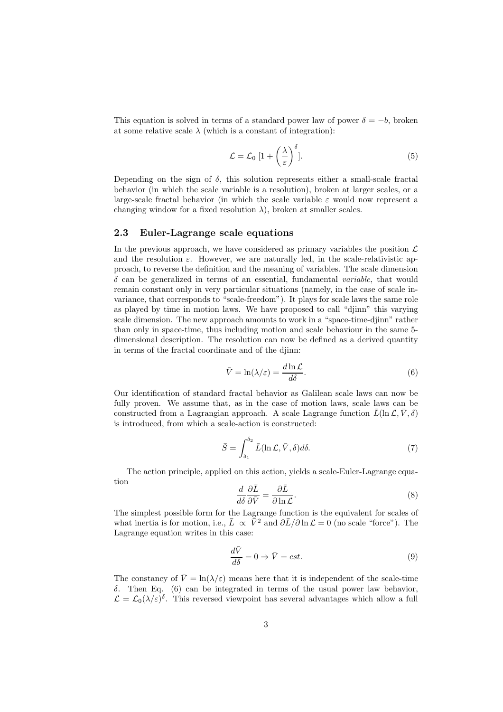This equation is solved in terms of a standard power law of power  $\delta = -b$ , broken at some relative scale  $\lambda$  (which is a constant of integration):

$$
\mathcal{L} = \mathcal{L}_0 \left[ 1 + \left( \frac{\lambda}{\varepsilon} \right)^{\delta} \right]. \tag{5}
$$

Depending on the sign of  $\delta$ , this solution represents either a small-scale fractal behavior (in which the scale variable is a resolution), broken at larger scales, or a large-scale fractal behavior (in which the scale variable  $\varepsilon$  would now represent a changing window for a fixed resolution  $\lambda$ ), broken at smaller scales.

#### 2.3 Euler-Lagrange scale equations

In the previous approach, we have considered as primary variables the position  $\mathcal L$ and the resolution  $\varepsilon$ . However, we are naturally led, in the scale-relativistic approach, to reverse the definition and the meaning of variables. The scale dimension  $\delta$  can be generalized in terms of an essential, fundamental variable, that would remain constant only in very particular situations (namely, in the case of scale invariance, that corresponds to "scale-freedom"). It plays for scale laws the same role as played by time in motion laws. We have proposed to call "djinn" this varying scale dimension. The new approach amounts to work in a "space-time-djinn" rather than only in space-time, thus including motion and scale behaviour in the same 5 dimensional description. The resolution can now be defined as a derived quantity in terms of the fractal coordinate and of the djinn:

$$
\bar{V} = \ln(\lambda/\varepsilon) = \frac{d \ln \mathcal{L}}{d\delta}.
$$
\n(6)

Our identification of standard fractal behavior as Galilean scale laws can now be fully proven. We assume that, as in the case of motion laws, scale laws can be constructed from a Lagrangian approach. A scale Lagrange function  $\bar{L}(\ln \mathcal{L}, \bar{V}, \delta)$ is introduced, from which a scale-action is constructed:

$$
\bar{S} = \int_{\delta_1}^{\delta_2} \bar{L}(\ln \mathcal{L}, \bar{V}, \delta) d\delta. \tag{7}
$$

The action principle, applied on this action, yields a scale-Euler-Lagrange equation

$$
\frac{d}{d\delta} \frac{\partial \bar{L}}{\partial \bar{V}} = \frac{\partial \bar{L}}{\partial \ln \mathcal{L}}.
$$
\n(8)

The simplest possible form for the Lagrange function is the equivalent for scales of what inertia is for motion, i.e.,  $\bar{L} \propto \bar{\bar{V}}^2$  and  $\partial \bar{L}/\partial \ln \mathcal{L} = 0$  (no scale "force"). The Lagrange equation writes in this case:

$$
\frac{d\bar{V}}{d\delta} = 0 \Rightarrow \bar{V} = cst.
$$
\n(9)

The constancy of  $\bar{V} = \ln(\lambda/\varepsilon)$  means here that it is independent of the scale-time δ. Then Eq. (6) can be integrated in terms of the usual power law behavior,  $\mathcal{L} = \mathcal{L}_0(\lambda/\varepsilon)^\delta$ . This reversed viewpoint has several advantages which allow a full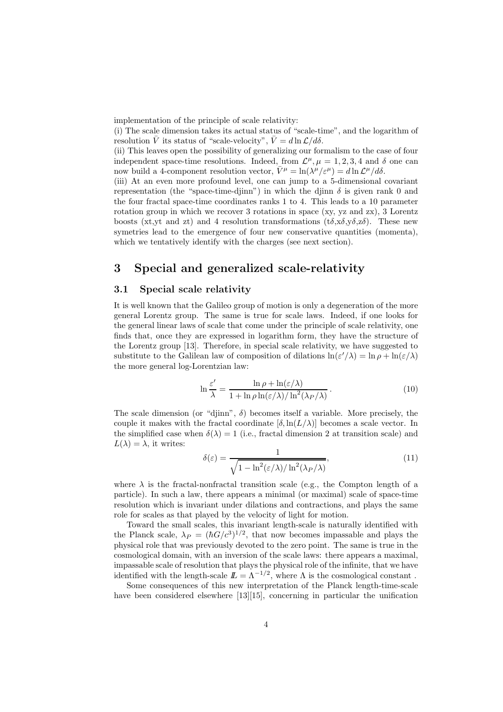implementation of the principle of scale relativity:

(i) The scale dimension takes its actual status of "scale-time", and the logarithm of resolution  $\bar{V}$  its status of "scale-velocity",  $\bar{V} = d \ln \mathcal{L}/d\delta$ .

(ii) This leaves open the possibility of generalizing our formalism to the case of four independent space-time resolutions. Indeed, from  $\mathcal{L}^{\mu}, \mu = 1, 2, 3, 4$  and  $\delta$  one can now build a 4-component resolution vector,  $\overline{V}^{\mu} = \ln(\lambda^{\mu}/\varepsilon^{\mu}) = d \ln \mathcal{L}^{\mu}/d\delta$ .

(iii) At an even more profound level, one can jump to a 5-dimensional covariant representation (the "space-time-djinn") in which the djinn  $\delta$  is given rank 0 and the four fractal space-time coordinates ranks 1 to 4. This leads to a 10 parameter rotation group in which we recover 3 rotations in space (xy, yz and zx), 3 Lorentz boosts (xt,yt and zt) and 4 resolution transformations ( $t\delta$ , $x\delta$ , $y\delta$ , $z\delta$ ). These new symetries lead to the emergence of four new conservative quantities (momenta), which we tentatively identify with the charges (see next section).

# 3 Special and generalized scale-relativity

#### 3.1 Special scale relativity

It is well known that the Galileo group of motion is only a degeneration of the more general Lorentz group. The same is true for scale laws. Indeed, if one looks for the general linear laws of scale that come under the principle of scale relativity, one finds that, once they are expressed in logarithm form, they have the structure of the Lorentz group [13]. Therefore, in special scale relativity, we have suggested to substitute to the Galilean law of composition of dilations  $\ln(\varepsilon'/\lambda) = \ln \rho + \ln(\varepsilon/\lambda)$ the more general log-Lorentzian law:

$$
\ln \frac{\varepsilon'}{\lambda} = \frac{\ln \rho + \ln(\varepsilon/\lambda)}{1 + \ln \rho \ln(\varepsilon/\lambda) / \ln^2(\lambda_P/\lambda)}.
$$
 (10)

The scale dimension (or "djinn",  $\delta$ ) becomes itself a variable. More precisely, the couple it makes with the fractal coordinate  $[\delta, \ln(L/\lambda)]$  becomes a scale vector. In the simplified case when  $\delta(\lambda) = 1$  (i.e., fractal dimension 2 at transition scale) and  $L(\lambda) = \lambda$ , it writes:

$$
\delta(\varepsilon) = \frac{1}{\sqrt{1 - \ln^2(\varepsilon/\lambda)/\ln^2(\lambda_P/\lambda)}},\tag{11}
$$

where  $\lambda$  is the fractal-nonfractal transition scale (e.g., the Compton length of a particle). In such a law, there appears a minimal (or maximal) scale of space-time resolution which is invariant under dilations and contractions, and plays the same role for scales as that played by the velocity of light for motion.

Toward the small scales, this invariant length-scale is naturally identified with the Planck scale,  $\lambda_P = (\hbar G/c^3)^{1/2}$ , that now becomes impassable and plays the physical role that was previously devoted to the zero point. The same is true in the cosmological domain, with an inversion of the scale laws: there appears a maximal, impassable scale of resolution that plays the physical role of the infinite, that we have identified with the length-scale  $\mathbb{L} = \Lambda^{-1/2}$ , where  $\Lambda$  is the cosmological constant.

Some consequences of this new interpretation of the Planck length-time-scale have been considered elsewhere [13][15], concerning in particular the unification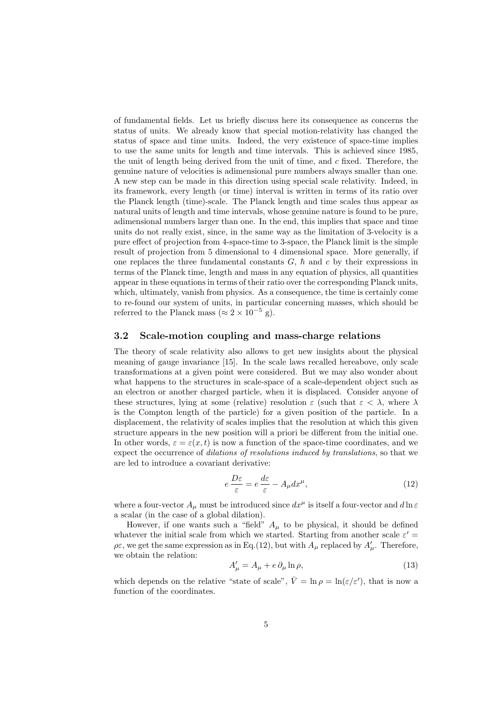of fundamental fields. Let us briefly discuss here its consequence as concerns the status of units. We already know that special motion-relativity has changed the status of space and time units. Indeed, the very existence of space-time implies to use the same units for length and time intervals. This is achieved since 1985, the unit of length being derived from the unit of time, and  $c$  fixed. Therefore, the genuine nature of velocities is adimensional pure numbers always smaller than one. A new step can be made in this direction using special scale relativity. Indeed, in its framework, every length (or time) interval is written in terms of its ratio over the Planck length (time)-scale. The Planck length and time scales thus appear as natural units of length and time intervals, whose genuine nature is found to be pure, adimensional numbers larger than one. In the end, this implies that space and time units do not really exist, since, in the same way as the limitation of 3-velocity is a pure effect of projection from 4-space-time to 3-space, the Planck limit is the simple result of projection from 5 dimensional to 4 dimensional space. More generally, if one replaces the three fundamental constants  $G, \hbar$  and c by their expressions in terms of the Planck time, length and mass in any equation of physics, all quantities appear in these equations in terms of their ratio over the corresponding Planck units, which, ultimately, vanish from physics. As a consequence, the time is certainly come to re-found our system of units, in particular concerning masses, which should be referred to the Planck mass ( $\approx 2 \times 10^{-5}$  g).

#### 3.2 Scale-motion coupling and mass-charge relations

The theory of scale relativity also allows to get new insights about the physical meaning of gauge invariance [15]. In the scale laws recalled hereabove, only scale transformations at a given point were considered. But we may also wonder about what happens to the structures in scale-space of a scale-dependent object such as an electron or another charged particle, when it is displaced. Consider anyone of these structures, lying at some (relative) resolution  $\varepsilon$  (such that  $\varepsilon < \lambda$ , where  $\lambda$ is the Compton length of the particle) for a given position of the particle. In a displacement, the relativity of scales implies that the resolution at which this given structure appears in the new position will a priori be different from the initial one. In other words,  $\varepsilon = \varepsilon(x,t)$  is now a function of the space-time coordinates, and we expect the occurrence of *dilations of resolutions induced by translations*, so that we are led to introduce a covariant derivative:

$$
e\frac{D\varepsilon}{\varepsilon} = e\frac{d\varepsilon}{\varepsilon} - A_{\mu}dx^{\mu},\tag{12}
$$

where a four-vector  $A_{\mu}$  must be introduced since  $dx^{\mu}$  is itself a four-vector and  $d\ln \varepsilon$ a scalar (in the case of a global dilation).

However, if one wants such a "field"  $A_\mu$  to be physical, it should be defined whatever the initial scale from which we started. Starting from another scale  $\varepsilon'$  =  $\rho \varepsilon$ , we get the same expression as in Eq.(12), but with  $A_\mu$  replaced by  $A'_\mu$ . Therefore, we obtain the relation:

$$
A'_{\mu} = A_{\mu} + e \, \partial_{\mu} \ln \rho,\tag{13}
$$

which depends on the relative "state of scale",  $\bar{V} = \ln \rho = \ln(\varepsilon/\varepsilon')$ , that is now a function of the coordinates.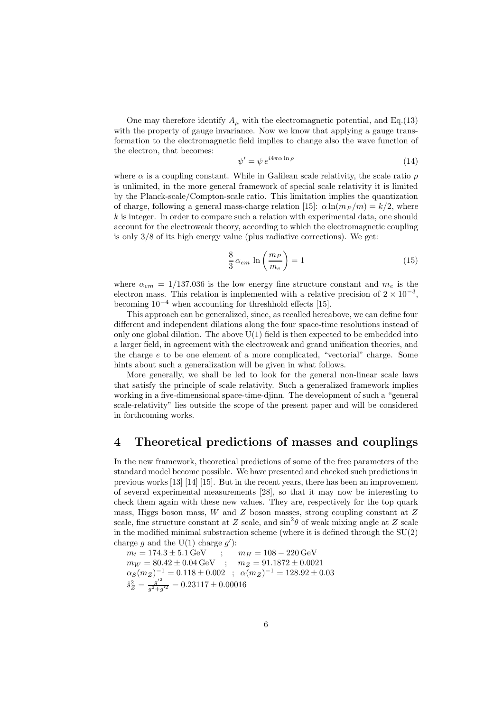One may therefore identify  $A_\mu$  with the electromagnetic potential, and Eq.(13) with the property of gauge invariance. Now we know that applying a gauge transformation to the electromagnetic field implies to change also the wave function of the electron, that becomes:

$$
\psi' = \psi \, e^{i4\pi\alpha \ln\rho} \tag{14}
$$

where  $\alpha$  is a coupling constant. While in Galilean scale relativity, the scale ratio  $\rho$ is unlimited, in the more general framework of special scale relativity it is limited by the Planck-scale/Compton-scale ratio. This limitation implies the quantization of charge, following a general mass-charge relation [15]:  $\alpha \ln(m_P / m) = k/2$ , where  $k$  is integer. In order to compare such a relation with experimental data, one should account for the electroweak theory, according to which the electromagnetic coupling is only 3/8 of its high energy value (plus radiative corrections). We get:

$$
\frac{8}{3} \alpha_{em} \ln \left( \frac{m_P}{m_e} \right) = 1 \tag{15}
$$

where  $\alpha_{em} = 1/137.036$  is the low energy fine structure constant and  $m_e$  is the electron mass. This relation is implemented with a relative precision of  $2 \times 10^{-3}$ , becoming  $10^{-4}$  when accounting for threshhold effects [15].

This approach can be generalized, since, as recalled hereabove, we can define four different and independent dilations along the four space-time resolutions instead of only one global dilation. The above  $U(1)$  field is then expected to be embedded into a larger field, in agreement with the electroweak and grand unification theories, and the charge e to be one element of a more complicated, "vectorial" charge. Some hints about such a generalization will be given in what follows.

More generally, we shall be led to look for the general non-linear scale laws that satisfy the principle of scale relativity. Such a generalized framework implies working in a five-dimensional space-time-djinn. The development of such a "general scale-relativity" lies outside the scope of the present paper and will be considered in forthcoming works.

# 4 Theoretical predictions of masses and couplings

In the new framework, theoretical predictions of some of the free parameters of the standard model become possible. We have presented and checked such predictions in previous works [13] [14] [15]. But in the recent years, there has been an improvement of several experimental measurements [28], so that it may now be interesting to check them again with these new values. They are, respectively for the top quark mass, Higgs boson mass,  $W$  and  $Z$  boson masses, strong coupling constant at  $Z$ scale, fine structure constant at Z scale, and  $\sin^2\theta$  of weak mixing angle at Z scale in the modified minimal substraction scheme (where it is defined through the  $SU(2)$ ) charge g and the  $U(1)$  charge g'):

$$
m_t = 174.3 \pm 5.1 \,\text{GeV} \qquad ; \qquad m_H = 108 - 220 \,\text{GeV}
$$
  
\n
$$
m_W = 80.42 \pm 0.04 \,\text{GeV} \qquad ; \qquad m_Z = 91.1872 \pm 0.0021
$$
  
\n
$$
\alpha_S(m_Z)^{-1} = 0.118 \pm 0.002 \qquad ; \quad \alpha(m_Z)^{-1} = 128.92 \pm 0.03
$$
  
\n
$$
\hat{s}_Z^2 = \frac{g^{\prime 2}}{g^2 + g^{\prime 2}} = 0.23117 \pm 0.00016
$$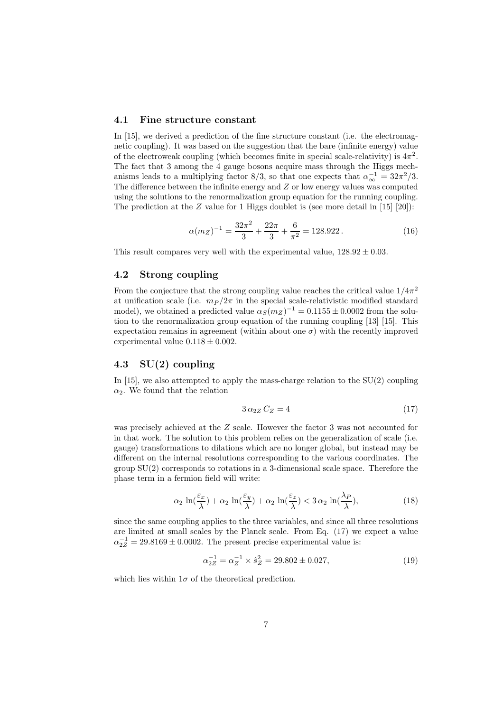#### 4.1 Fine structure constant

In [15], we derived a prediction of the fine structure constant (i.e. the electromagnetic coupling). It was based on the suggestion that the bare (infinite energy) value of the electroweak coupling (which becomes finite in special scale-relativity) is  $4\pi^2$ . The fact that 3 among the 4 gauge bosons acquire mass through the Higgs mechanisms leads to a multiplying factor 8/3, so that one expects that  $\alpha_{\infty}^{-1} = 32\pi^2/3$ . The difference between the infinite energy and Z or low energy values was computed using the solutions to the renormalization group equation for the running coupling. The prediction at the  $Z$  value for 1 Higgs doublet is (see more detail in [15] [20]):

$$
\alpha(m_Z)^{-1} = \frac{32\pi^2}{3} + \frac{22\pi}{3} + \frac{6}{\pi^2} = 128.922. \tag{16}
$$

This result compares very well with the experimental value,  $128.92 \pm 0.03$ .

### 4.2 Strong coupling

From the conjecture that the strong coupling value reaches the critical value  $1/4\pi^2$ at unification scale (i.e.  $m_P / 2\pi$  in the special scale-relativistic modified standard model), we obtained a predicted value  $\alpha_S(m_Z)^{-1} = 0.1155 \pm 0.0002$  from the solution to the renormalization group equation of the running coupling [13] [15]. This expectation remains in agreement (within about one  $\sigma$ ) with the recently improved experimental value  $0.118 \pm 0.002$ .

### 4.3 SU(2) coupling

In [15], we also attempted to apply the mass-charge relation to the SU(2) coupling  $\alpha_2$ . We found that the relation

$$
3\,\alpha_{2Z}\,C_Z = 4\tag{17}
$$

was precisely achieved at the Z scale. However the factor 3 was not accounted for in that work. The solution to this problem relies on the generalization of scale (i.e. gauge) transformations to dilations which are no longer global, but instead may be different on the internal resolutions corresponding to the various coordinates. The group SU(2) corresponds to rotations in a 3-dimensional scale space. Therefore the phase term in a fermion field will write:

$$
\alpha_2 \ln(\frac{\varepsilon_x}{\lambda}) + \alpha_2 \ln(\frac{\varepsilon_y}{\lambda}) + \alpha_2 \ln(\frac{\varepsilon_z}{\lambda}) < 3 \alpha_2 \ln(\frac{\lambda_P}{\lambda}),\tag{18}
$$

since the same coupling applies to the three variables, and since all three resolutions are limited at small scales by the Planck scale. From Eq. (17) we expect a value  $\alpha_{2Z}^{-1} = 29.8169 \pm 0.0002$ . The present precise experimental value is:

$$
\alpha_{2Z}^{-1} = \alpha_Z^{-1} \times \hat{s}_Z^2 = 29.802 \pm 0.027,\tag{19}
$$

which lies within  $1\sigma$  of the theoretical prediction.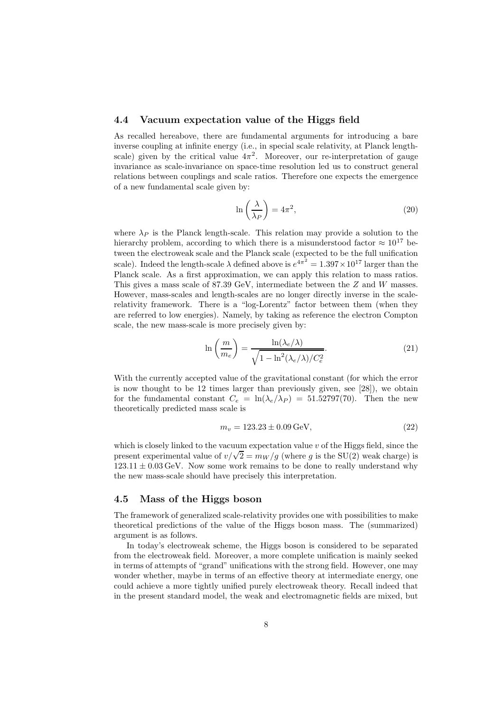#### 4.4 Vacuum expectation value of the Higgs field

As recalled hereabove, there are fundamental arguments for introducing a bare inverse coupling at infinite energy (i.e., in special scale relativity, at Planck lengthscale) given by the critical value  $4\pi^2$ . Moreover, our re-interpretation of gauge invariance as scale-invariance on space-time resolution led us to construct general relations between couplings and scale ratios. Therefore one expects the emergence of a new fundamental scale given by:

$$
\ln\left(\frac{\lambda}{\lambda_P}\right) = 4\pi^2,\tag{20}
$$

where  $\lambda_P$  is the Planck length-scale. This relation may provide a solution to the hierarchy problem, according to which there is a misunderstood factor  $\approx 10^{17}$  between the electroweak scale and the Planck scale (expected to be the full unification scale). Indeed the length-scale  $\lambda$  defined above is  $e^{4\pi^2} = 1.397 \times 10^{17}$  larger than the Planck scale. As a first approximation, we can apply this relation to mass ratios. This gives a mass scale of 87.39 GeV, intermediate between the Z and W masses. However, mass-scales and length-scales are no longer directly inverse in the scalerelativity framework. There is a "log-Lorentz" factor between them (when they are referred to low energies). Namely, by taking as reference the electron Compton scale, the new mass-scale is more precisely given by:

$$
\ln\left(\frac{m}{m_e}\right) = \frac{\ln(\lambda_e/\lambda)}{\sqrt{1 - \ln^2(\lambda_e/\lambda)/C_e^2}}.\tag{21}
$$

With the currently accepted value of the gravitational constant (for which the error is now thought to be 12 times larger than previously given, see [28]), we obtain for the fundamental constant  $C_e = \ln(\lambda_e/\lambda_P) = 51.52797(70)$ . Then the new theoretically predicted mass scale is

$$
m_v = 123.23 \pm 0.09 \,\text{GeV},\tag{22}
$$

which is closely linked to the vacuum expectation value  $v$  of the Higgs field, since the present experimental value of  $v/\sqrt{2} = m_W/g$  (where g is the SU(2) weak charge) is  $123.11 \pm 0.03 \,\text{GeV}$ . Now some work remains to be done to really understand why the new mass-scale should have precisely this interpretation.

#### 4.5 Mass of the Higgs boson

The framework of generalized scale-relativity provides one with possibilities to make theoretical predictions of the value of the Higgs boson mass. The (summarized) argument is as follows.

In today's electroweak scheme, the Higgs boson is considered to be separated from the electroweak field. Moreover, a more complete unification is mainly seeked in terms of attempts of "grand" unifications with the strong field. However, one may wonder whether, maybe in terms of an effective theory at intermediate energy, one could achieve a more tightly unified purely electroweak theory. Recall indeed that in the present standard model, the weak and electromagnetic fields are mixed, but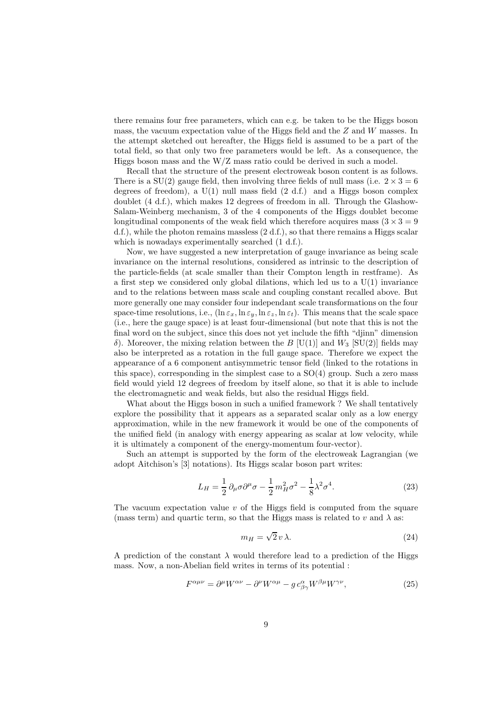there remains four free parameters, which can e.g. be taken to be the Higgs boson mass, the vacuum expectation value of the Higgs field and the  $Z$  and  $W$  masses. In the attempt sketched out hereafter, the Higgs field is assumed to be a part of the total field, so that only two free parameters would be left. As a consequence, the Higgs boson mass and the  $W/Z$  mass ratio could be derived in such a model.

Recall that the structure of the present electroweak boson content is as follows. There is a SU(2) gauge field, then involving three fields of null mass (i.e.  $2 \times 3 = 6$ ) degrees of freedom), a  $U(1)$  null mass field  $(2 \text{ d.f.})$  and a Higgs boson complex doublet (4 d.f.), which makes 12 degrees of freedom in all. Through the Glashow-Salam-Weinberg mechanism, 3 of the 4 components of the Higgs doublet become longitudinal components of the weak field which therefore acquires mass  $(3 \times 3 = 9$ d.f.), while the photon remains massless  $(2 d.f.)$ , so that there remains a Higgs scalar which is nowadays experimentally searched  $(1 d.f.).$ 

Now, we have suggested a new interpretation of gauge invariance as being scale invariance on the internal resolutions, considered as intrinsic to the description of the particle-fields (at scale smaller than their Compton length in restframe). As a first step we considered only global dilations, which led us to a  $U(1)$  invariance and to the relations between mass scale and coupling constant recalled above. But more generally one may consider four independant scale transformations on the four space-time resolutions, i.e.,  $(\ln \varepsilon_x, \ln \varepsilon_y, \ln \varepsilon_z)$ . This means that the scale space (i.e., here the gauge space) is at least four-dimensional (but note that this is not the final word on the subject, since this does not yet include the fifth "djinn" dimension δ). Moreover, the mixing relation between the B [U(1)] and  $W_3$  [SU(2)] fields may also be interpreted as a rotation in the full gauge space. Therefore we expect the appearance of a 6 component antisymmetric tensor field (linked to the rotations in this space), corresponding in the simplest case to a SO(4) group. Such a zero mass field would yield 12 degrees of freedom by itself alone, so that it is able to include the electromagnetic and weak fields, but also the residual Higgs field.

What about the Higgs boson in such a unified framework ? We shall tentatively explore the possibility that it appears as a separated scalar only as a low energy approximation, while in the new framework it would be one of the components of the unified field (in analogy with energy appearing as scalar at low velocity, while it is ultimately a component of the energy-momentum four-vector).

Such an attempt is supported by the form of the electroweak Lagrangian (we adopt Aitchison's [3] notations). Its Higgs scalar boson part writes:

$$
L_H = \frac{1}{2} \partial_\mu \sigma \partial^\mu \sigma - \frac{1}{2} m_H^2 \sigma^2 - \frac{1}{8} \lambda^2 \sigma^4.
$$
 (23)

The vacuum expectation value  $v$  of the Higgs field is computed from the square (mass term) and quartic term, so that the Higgs mass is related to v and  $\lambda$  as:

$$
m_H = \sqrt{2} v \lambda. \tag{24}
$$

A prediction of the constant  $\lambda$  would therefore lead to a prediction of the Higgs mass. Now, a non-Abelian field writes in terms of its potential :

$$
F^{\alpha\mu\nu} = \partial^{\mu}W^{\alpha\nu} - \partial^{\nu}W^{\alpha\mu} - g c^{\alpha}_{\beta\gamma}W^{\beta\mu}W^{\gamma\nu}, \qquad (25)
$$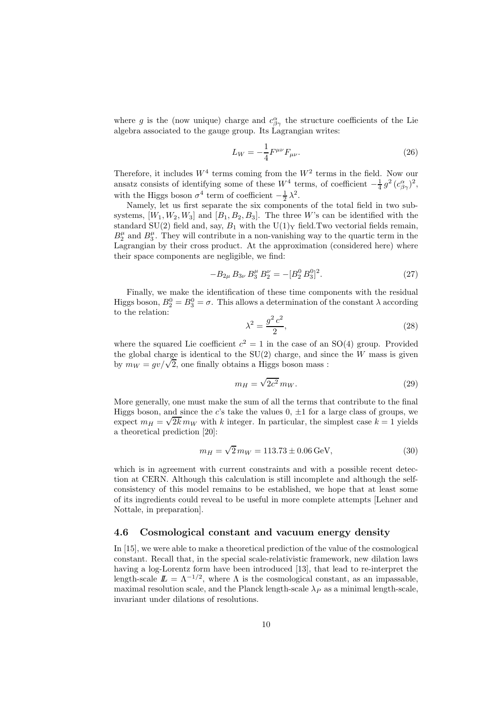where g is the (now unique) charge and  $c^{\alpha}_{\beta\gamma}$  the structure coefficients of the Lie algebra associated to the gauge group. Its Lagrangian writes:

$$
L_W = -\frac{1}{4} F^{\mu\nu} F_{\mu\nu}.
$$
\n(26)

Therefore, it includes  $W^4$  terms coming from the  $W^2$  terms in the field. Now our ansatz consists of identifying some of these  $W^4$  terms, of coefficient  $-\frac{1}{4}g^2(c_{\beta\gamma}^{\alpha})^2$ , with the Higgs boson  $\sigma^4$  term of coefficient  $-\frac{1}{2}\lambda^2$ .

Namely, let us first separate the six components of the total field in two subsystems,  $[W_1, W_2, W_3]$  and  $[B_1, B_2, B_3]$ . The three W's can be identified with the standard SU(2) field and, say,  $B_1$  with the U(1)<sub>Y</sub> field. Two vectorial fields remain,  $B_2^{\mu}$  and  $B_3^{\mu}$ . They will contribute in a non-vanishing way to the quartic term in the Lagrangian by their cross product. At the approximation (considered here) where their space components are negligible, we find:

$$
-B_{2\mu} B_{3\nu} B_3^{\mu} B_2^{\nu} = -[B_2^0 \, B_3^0]^2. \tag{27}
$$

Finally, we make the identification of these time components with the residual Higgs boson,  $B_2^0 = B_3^0 = \sigma$ . This allows a determination of the constant  $\lambda$  according to the relation:

$$
\lambda^2 = \frac{g^2 c^2}{2},\tag{28}
$$

where the squared Lie coefficient  $c^2 = 1$  in the case of an SO(4) group. Provided the global charge is identical to the  $SU(2)$  charge, and since the W mass is given by  $m_W = gv/\sqrt{2}$ , one finally obtains a Higgs boson mass :

$$
m_H = \sqrt{2c^2} \, m_W. \tag{29}
$$

More generally, one must make the sum of all the terms that contribute to the final Higgs boson, and since the c's take the values  $0, \pm 1$  for a large class of groups, we expect  $m_H = \sqrt{2k} m_W$  with k integer. In particular, the simplest case  $k = 1$  yields a theoretical prediction [20]:

$$
m_H = \sqrt{2} m_W = 113.73 \pm 0.06 \,\text{GeV},\tag{30}
$$

which is in agreement with current constraints and with a possible recent detection at CERN. Although this calculation is still incomplete and although the selfconsistency of this model remains to be established, we hope that at least some of its ingredients could reveal to be useful in more complete attempts [Lehner and Nottale, in preparation].

#### 4.6 Cosmological constant and vacuum energy density

In [15], we were able to make a theoretical prediction of the value of the cosmological constant. Recall that, in the special scale-relativistic framework, new dilation laws having a log-Lorentz form have been introduced [13], that lead to re-interpret the length-scale  $\mathbb{L} = \Lambda^{-1/2}$ , where  $\Lambda$  is the cosmological constant, as an impassable, maximal resolution scale, and the Planck length-scale  $\lambda_P$  as a minimal length-scale, invariant under dilations of resolutions.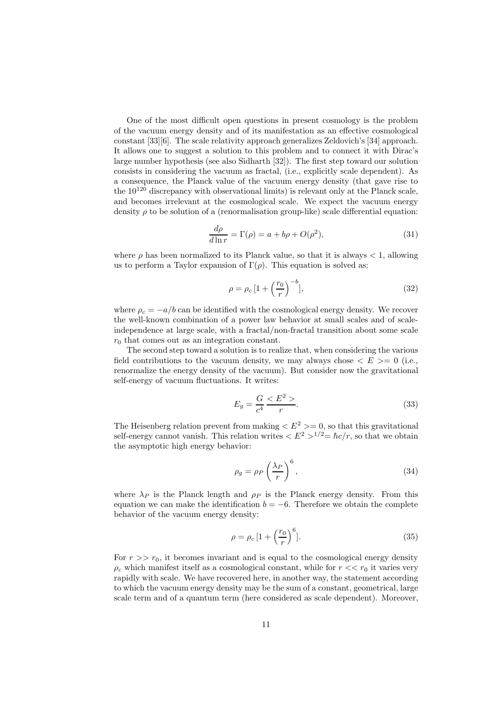One of the most difficult open questions in present cosmology is the problem of the vacuum energy density and of its manifestation as an effective cosmological constant [33][6]. The scale relativity approach generalizes Zeldovich's [34] approach. It allows one to suggest a solution to this problem and to connect it with Dirac's large number hypothesis (see also Sidharth [32]). The first step toward our solution consists in considering the vacuum as fractal, (i.e., explicitly scale dependent). As a consequence, the Planck value of the vacuum energy density (that gave rise to the  $10^{120}$  discrepancy with observational limits) is relevant only at the Planck scale. and becomes irrelevant at the cosmological scale. We expect the vacuum energy density  $\rho$  to be solution of a (renormalisation group-like) scale differential equation:

$$
\frac{d\rho}{d\ln r} = \Gamma(\rho) = a + b\rho + O(\rho^2),\tag{31}
$$

where  $\rho$  has been normalized to its Planck value, so that it is always  $\lt 1$ , allowing us to perform a Taylor expansion of  $\Gamma(\rho)$ . This equation is solved as:

$$
\rho = \rho_c \left[ 1 + \left(\frac{r_0}{r}\right)^{-b} \right],\tag{32}
$$

where  $\rho_c = -a/b$  can be identified with the cosmological energy density. We recover the well-known combination of a power law behavior at small scales and of scaleindependence at large scale, with a fractal/non-fractal transition about some scale  $r_0$  that comes out as an integration constant.

The second step toward a solution is to realize that, when considering the various field contributions to the vacuum density, we may always chose  $\langle E \rangle = 0$  (i.e., renormalize the energy density of the vacuum). But consider now the gravitational self-energy of vacuum fluctuations. It writes:

$$
E_g = \frac{G}{c^4} \frac{E^2}{r}.
$$
\n
$$
(33)
$$

The Heisenberg relation prevent from making  $\langle E^2 \rangle = 0$ , so that this gravitational self-energy cannot vanish. This relation writes  $\langle E^2 \rangle^{1/2} = \hbar c/r$ , so that we obtain the asymptotic high energy behavior:

$$
\rho_g = \rho_P \left(\frac{\lambda_P}{r}\right)^6,\tag{34}
$$

where  $\lambda_P$  is the Planck length and  $\rho_P$  is the Planck energy density. From this equation we can make the identification  $b = -6$ . Therefore we obtain the complete behavior of the vacuum energy density:

$$
\rho = \rho_c \left[ 1 + \left(\frac{r_0}{r}\right)^6 \right].\tag{35}
$$

For  $r \gg r_0$ , it becomes invariant and is equal to the cosmological energy density  $\rho_c$  which manifest itself as a cosmological constant, while for  $r \ll r_0$  it varies very rapidly with scale. We have recovered here, in another way, the statement according to which the vacuum energy density may be the sum of a constant, geometrical, large scale term and of a quantum term (here considered as scale dependent). Moreover,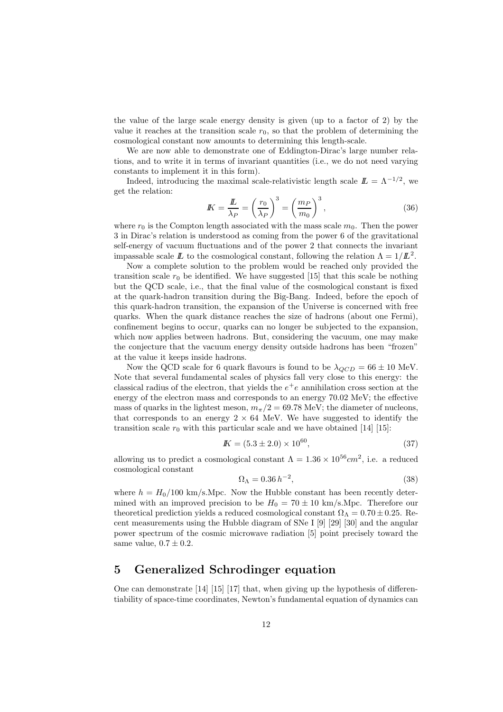the value of the large scale energy density is given (up to a factor of 2) by the value it reaches at the transition scale  $r_0$ , so that the problem of determining the cosmological constant now amounts to determining this length-scale.

We are now able to demonstrate one of Eddington-Dirac's large number relations, and to write it in terms of invariant quantities (i.e., we do not need varying constants to implement it in this form).

Indeed, introducing the maximal scale-relativistic length scale  $\mathbb{L} = \Lambda^{-1/2}$ , we get the relation:

$$
I K = \frac{I\!L}}{\lambda_P} = \left(\frac{r_0}{\lambda_P}\right)^3 = \left(\frac{m_P}{m_0}\right)^3,
$$
\n(36)

where  $r_0$  is the Compton length associated with the mass scale  $m_0$ . Then the power 3 in Dirac's relation is understood as coming from the power 6 of the gravitational self-energy of vacuum fluctuations and of the power 2 that connects the invariant impassable scale  $\mathbb L$  to the cosmological constant, following the relation  $\Lambda = 1/L^2$ .

Now a complete solution to the problem would be reached only provided the transition scale  $r_0$  be identified. We have suggested [15] that this scale be nothing but the QCD scale, i.e., that the final value of the cosmological constant is fixed at the quark-hadron transition during the Big-Bang. Indeed, before the epoch of this quark-hadron transition, the expansion of the Universe is concerned with free quarks. When the quark distance reaches the size of hadrons (about one Fermi), confinement begins to occur, quarks can no longer be subjected to the expansion, which now applies between hadrons. But, considering the vacuum, one may make the conjecture that the vacuum energy density outside hadrons has been "frozen" at the value it keeps inside hadrons.

Now the QCD scale for 6 quark flavours is found to be  $\lambda_{QCD} = 66 \pm 10$  MeV. Note that several fundamental scales of physics fall very close to this energy: the classical radius of the electron, that yields the  $e^+e$  annihilation cross section at the energy of the electron mass and corresponds to an energy 70.02 MeV; the effective mass of quarks in the lightest meson,  $m_{\pi}/2 = 69.78$  MeV; the diameter of nucleons, that corresponds to an energy  $2 \times 64$  MeV. We have suggested to identify the transition scale  $r_0$  with this particular scale and we have obtained [14] [15]:

$$
I K = (5.3 \pm 2.0) \times 10^{60}, \tag{37}
$$

allowing us to predict a cosmological constant  $\Lambda = 1.36 \times 10^{56} \text{cm}^2$ , i.e. a reduced cosmological constant

$$
\Omega_{\Lambda} = 0.36 h^{-2},\tag{38}
$$

where  $h = H_0/100$  km/s.Mpc. Now the Hubble constant has been recently determined with an improved precision to be  $H_0 = 70 \pm 10$  km/s.Mpc. Therefore our theoretical prediction yields a reduced cosmological constant  $\Omega_{\Lambda} = 0.70 \pm 0.25$ . Recent measurements using the Hubble diagram of SNe I [9] [29] [30] and the angular power spectrum of the cosmic microwave radiation [5] point precisely toward the same value,  $0.7 \pm 0.2$ .

### 5 Generalized Schrodinger equation

One can demonstrate [14] [15] [17] that, when giving up the hypothesis of differentiability of space-time coordinates, Newton's fundamental equation of dynamics can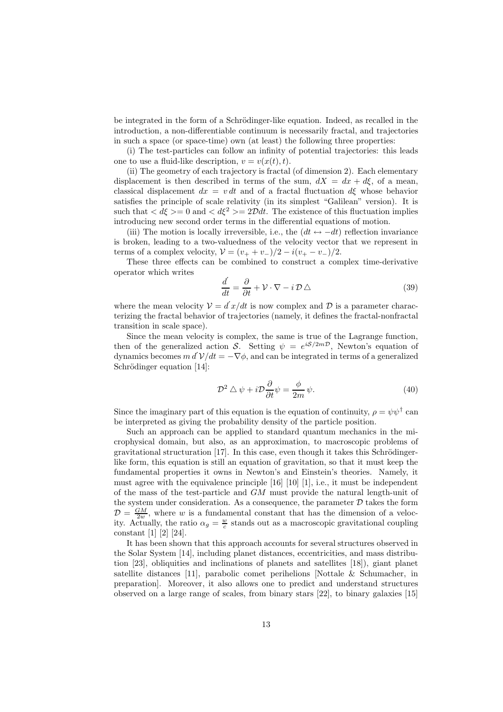be integrated in the form of a Schrödinger-like equation. Indeed, as recalled in the introduction, a non-differentiable continuum is necessarily fractal, and trajectories in such a space (or space-time) own (at least) the following three properties:

(i) The test-particles can follow an infinity of potential trajectories: this leads one to use a fluid-like description,  $v = v(x(t),t)$ .

(ii) The geometry of each trajectory is fractal (of dimension 2). Each elementary displacement is then described in terms of the sum,  $dX = dx + d\xi$ , of a mean, classical displacement  $dx = v dt$  and of a fractal fluctuation  $d\xi$  whose behavior satisfies the principle of scale relativity (in its simplest "Galilean" version). It is such that  $\langle d\xi \rangle = 0$  and  $\langle d\xi^2 \rangle = 2\mathcal{D}dt$ . The existence of this fluctuation implies introducing new second order terms in the differential equations of motion.

(iii) The motion is locally irreversible, i.e., the  $(dt \leftrightarrow -dt)$  reflection invariance is broken, leading to a two-valuedness of the velocity vector that we represent in terms of a complex velocity,  $V = (v_{+} + v_{-})/2 - i(v_{+} - v_{-})/2$ .

These three effects can be combined to construct a complex time-derivative operator which writes

$$
\frac{d}{dt} = \frac{\partial}{\partial t} + \mathcal{V} \cdot \nabla - i \mathcal{D} \triangle \tag{39}
$$

where the mean velocity  $\mathcal{V} = d\mathbf{x}/dt$  is now complex and  $\mathcal{D}$  is a parameter characterizing the fractal behavior of trajectories (namely, it defines the fractal-nonfractal transition in scale space).

Since the mean velocity is complex, the same is true of the Lagrange function, then of the generalized action S. Setting  $\psi = e^{iS/2m\mathcal{D}}$ , Newton's equation of dynamics becomes  $m dV/dt = -\nabla \phi$ , and can be integrated in terms of a generalized Schrödinger equation [14]:

$$
\mathcal{D}^2 \triangle \psi + i \mathcal{D} \frac{\partial}{\partial t} \psi = \frac{\phi}{2m} \psi.
$$
 (40)

Since the imaginary part of this equation is the equation of continuity,  $\rho = \psi \psi^{\dagger}$  can be interpreted as giving the probability density of the particle position.

Such an approach can be applied to standard quantum mechanics in the microphysical domain, but also, as an approximation, to macroscopic problems of  $gravitational$  structuration [17]. In this case, even though it takes this Schrödingerlike form, this equation is still an equation of gravitation, so that it must keep the fundamental properties it owns in Newton's and Einstein's theories. Namely, it must agree with the equivalence principle [16] [10] [1], i.e., it must be independent of the mass of the test-particle and GM must provide the natural length-unit of the system under consideration. As a consequence, the parameter  $D$  takes the form  $\mathcal{D} = \frac{GM}{2w}$ , where w is a fundamental constant that has the dimension of a velocity. Actually, the ratio  $\alpha_g = \frac{w}{c}$  stands out as a macroscopic gravitational coupling constant [1] [2] [24].

It has been shown that this approach accounts for several structures observed in the Solar System [14], including planet distances, eccentricities, and mass distribution [23], obliquities and inclinations of planets and satellites [18]), giant planet satellite distances [11], parabolic comet perihelions [Nottale & Schumacher, in preparation]. Moreover, it also allows one to predict and understand structures observed on a large range of scales, from binary stars [22], to binary galaxies [15]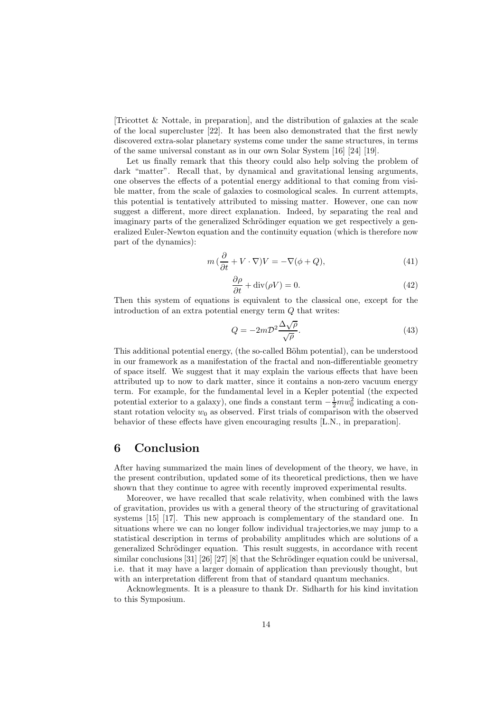[Tricottet & Nottale, in preparation], and the distribution of galaxies at the scale of the local supercluster [22]. It has been also demonstrated that the first newly discovered extra-solar planetary systems come under the same structures, in terms of the same universal constant as in our own Solar System [16] [24] [19].

Let us finally remark that this theory could also help solving the problem of dark "matter". Recall that, by dynamical and gravitational lensing arguments, one observes the effects of a potential energy additional to that coming from visible matter, from the scale of galaxies to cosmological scales. In current attempts, this potential is tentatively attributed to missing matter. However, one can now suggest a different, more direct explanation. Indeed, by separating the real and imaginary parts of the generalized Schrödinger equation we get respectively a generalized Euler-Newton equation and the continuity equation (which is therefore now part of the dynamics):

$$
m\left(\frac{\partial}{\partial t} + V \cdot \nabla\right) V = -\nabla(\phi + Q),\tag{41}
$$

$$
\frac{\partial \rho}{\partial t} + \text{div}(\rho V) = 0. \tag{42}
$$

Then this system of equations is equivalent to the classical one, except for the introduction of an extra potential energy term Q that writes:

$$
Q = -2m\mathcal{D}^2 \frac{\Delta \sqrt{\rho}}{\sqrt{\rho}}.\tag{43}
$$

This additional potential energy, (the so-called Böhm potential), can be understood in our framework as a manifestation of the fractal and non-differentiable geometry of space itself. We suggest that it may explain the various effects that have been attributed up to now to dark matter, since it contains a non-zero vacuum energy term. For example, for the fundamental level in a Kepler potential (the expected potential exterior to a galaxy), one finds a constant term  $-\frac{1}{2}mw_0^2$  indicating a constant rotation velocity  $w_0$  as observed. First trials of comparison with the observed behavior of these effects have given encouraging results [L.N., in preparation].

### 6 Conclusion

After having summarized the main lines of development of the theory, we have, in the present contribution, updated some of its theoretical predictions, then we have shown that they continue to agree with recently improved experimental results.

Moreover, we have recalled that scale relativity, when combined with the laws of gravitation, provides us with a general theory of the structuring of gravitational systems [15] [17]. This new approach is complementary of the standard one. In situations where we can no longer follow individual trajectories,we may jump to a statistical description in terms of probability amplitudes which are solutions of a generalized Schrödinger equation. This result suggests, in accordance with recent similar conclusions  $[31]$   $[26]$   $[27]$   $[8]$  that the Schrödinger equation could be universal, i.e. that it may have a larger domain of application than previously thought, but with an interpretation different from that of standard quantum mechanics.

Acknowlegments. It is a pleasure to thank Dr. Sidharth for his kind invitation to this Symposium.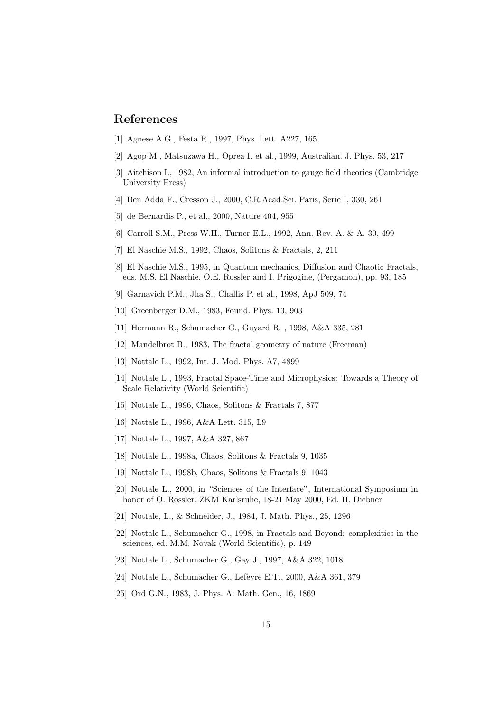# References

- [1] Agnese A.G., Festa R., 1997, Phys. Lett. A227, 165
- [2] Agop M., Matsuzawa H., Oprea I. et al., 1999, Australian. J. Phys. 53, 217
- [3] Aitchison I., 1982, An informal introduction to gauge field theories (Cambridge University Press)
- [4] Ben Adda F., Cresson J., 2000, C.R.Acad.Sci. Paris, Serie I, 330, 261
- [5] de Bernardis P., et al., 2000, Nature 404, 955
- [6] Carroll S.M., Press W.H., Turner E.L., 1992, Ann. Rev. A. & A. 30, 499
- [7] El Naschie M.S., 1992, Chaos, Solitons & Fractals, 2, 211
- [8] El Naschie M.S., 1995, in Quantum mechanics, Diffusion and Chaotic Fractals, eds. M.S. El Naschie, O.E. Rossler and I. Prigogine, (Pergamon), pp. 93, 185
- [9] Garnavich P.M., Jha S., Challis P. et al., 1998, ApJ 509, 74
- [10] Greenberger D.M., 1983, Found. Phys. 13, 903
- [11] Hermann R., Schumacher G., Guyard R. , 1998, A&A 335, 281
- [12] Mandelbrot B., 1983, The fractal geometry of nature (Freeman)
- [13] Nottale L., 1992, Int. J. Mod. Phys. A7, 4899
- [14] Nottale L., 1993, Fractal Space-Time and Microphysics: Towards a Theory of Scale Relativity (World Scientific)
- [15] Nottale L., 1996, Chaos, Solitons & Fractals 7, 877
- [16] Nottale L., 1996, A&A Lett. 315, L9
- [17] Nottale L., 1997, A&A 327, 867
- [18] Nottale L., 1998a, Chaos, Solitons & Fractals 9, 1035
- [19] Nottale L., 1998b, Chaos, Solitons & Fractals 9, 1043
- [20] Nottale L., 2000, in "Sciences of the Interface", International Symposium in honor of O. Rössler, ZKM Karlsruhe, 18-21 May 2000, Ed. H. Diebner
- [21] Nottale, L., & Schneider, J., 1984, J. Math. Phys., 25, 1296
- [22] Nottale L., Schumacher G., 1998, in Fractals and Beyond: complexities in the sciences, ed. M.M. Novak (World Scientific), p. 149
- [23] Nottale L., Schumacher G., Gay J., 1997, A&A 322, 1018
- [24] Nottale L., Schumacher G., Lefèvre E.T., 2000, A&A 361, 379
- [25] Ord G.N., 1983, J. Phys. A: Math. Gen., 16, 1869